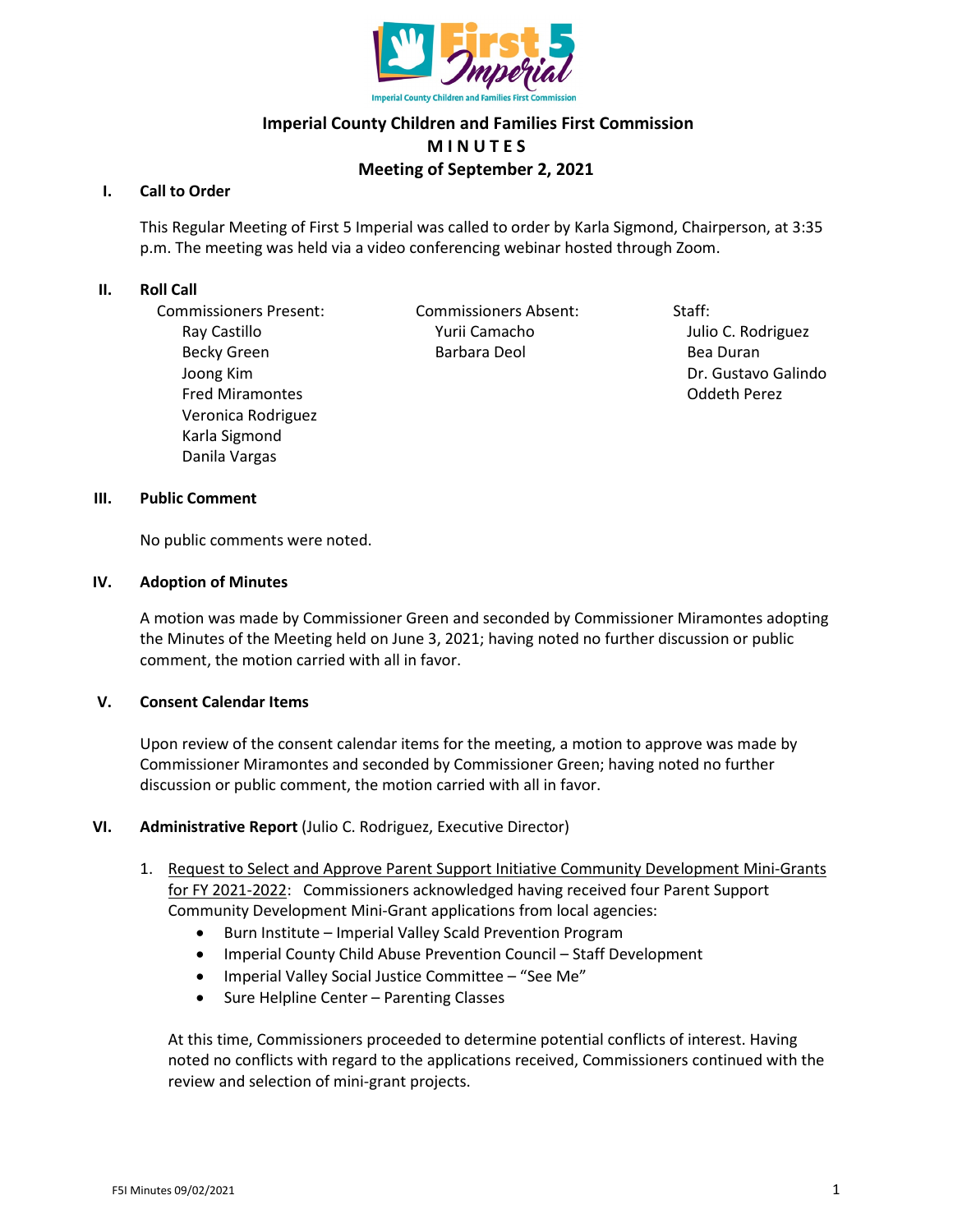

# **Imperial County Children and Families First Commission M I N U T E S Meeting of September 2, 2021**

## **I. Call to Order**

This Regular Meeting of First 5 Imperial was called to order by Karla Sigmond, Chairperson, at 3:35 p.m. The meeting was held via a video conferencing webinar hosted through Zoom.

## **II. Roll Call**

Commissioners Present: Commissioners Absent: Staff: Joong Kim Dr. Gustavo Galindo Fred Miramontes Oddeth Perez Veronica Rodriguez Karla Sigmond Danila Vargas

Ray Castillo **National Community Community** Yurii Camacho *Julio C. Rodriguez* Becky Green **Barbara Deol** Barbara Deol **Bea Duran** 

#### **III. Public Comment**

No public comments were noted.

#### **IV. Adoption of Minutes**

A motion was made by Commissioner Green and seconded by Commissioner Miramontes adopting the Minutes of the Meeting held on June 3, 2021; having noted no further discussion or public comment, the motion carried with all in favor.

# **V. Consent Calendar Items**

Upon review of the consent calendar items for the meeting, a motion to approve was made by Commissioner Miramontes and seconded by Commissioner Green; having noted no further discussion or public comment, the motion carried with all in favor.

# **VI. Administrative Report** (Julio C. Rodriguez, Executive Director)

- 1. Request to Select and Approve Parent Support Initiative Community Development Mini-Grants for FY 2021-2022: Commissioners acknowledged having received four Parent Support Community Development Mini-Grant applications from local agencies:
	- Burn Institute Imperial Valley Scald Prevention Program
	- Imperial County Child Abuse Prevention Council Staff Development
	- Imperial Valley Social Justice Committee "See Me"
	- Sure Helpline Center Parenting Classes

At this time, Commissioners proceeded to determine potential conflicts of interest. Having noted no conflicts with regard to the applications received, Commissioners continued with the review and selection of mini-grant projects.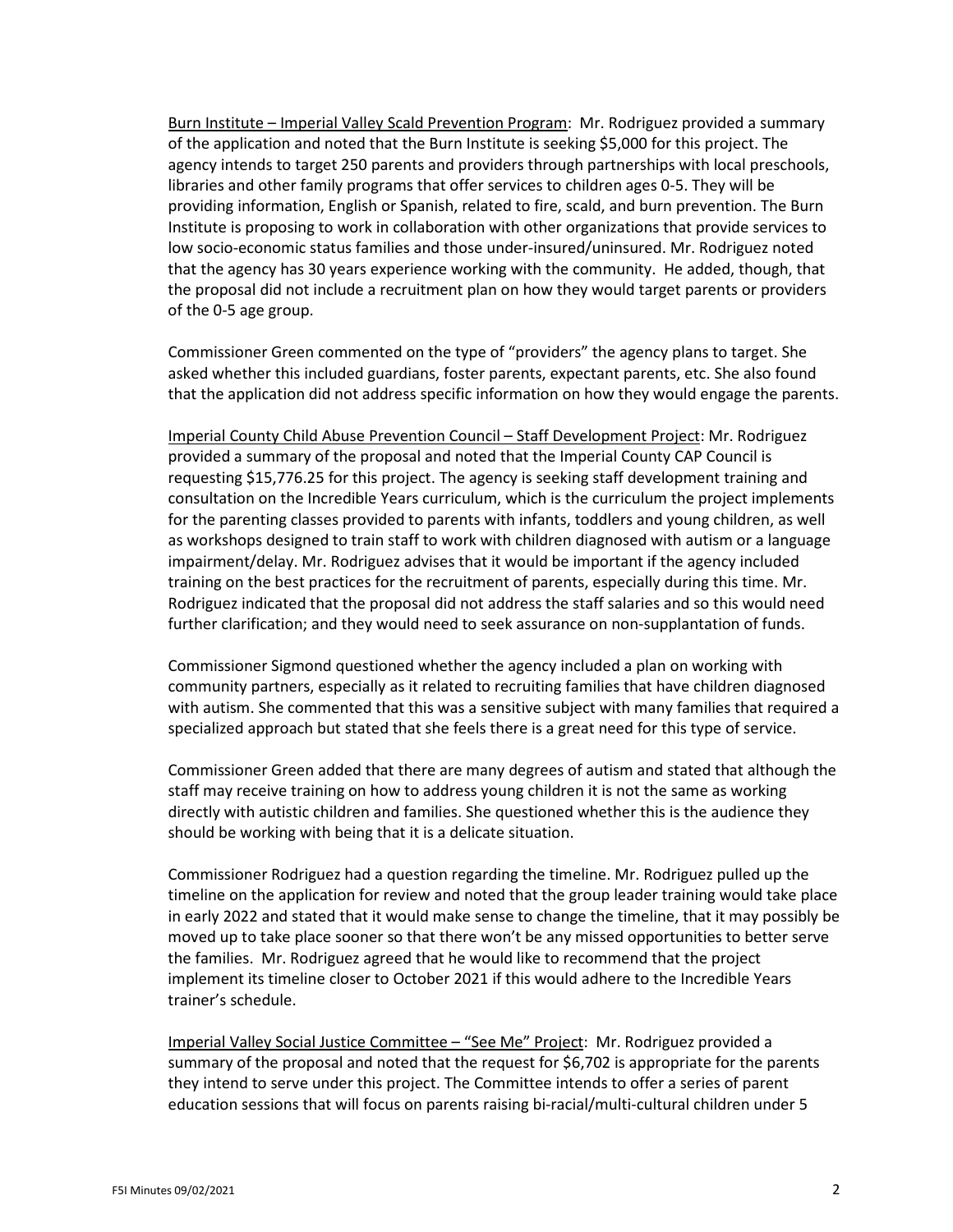Burn Institute – Imperial Valley Scald Prevention Program: Mr. Rodriguez provided a summary of the application and noted that the Burn Institute is seeking \$5,000 for this project. The agency intends to target 250 parents and providers through partnerships with local preschools, libraries and other family programs that offer services to children ages 0-5. They will be providing information, English or Spanish, related to fire, scald, and burn prevention. The Burn Institute is proposing to work in collaboration with other organizations that provide services to low socio-economic status families and those under-insured/uninsured. Mr. Rodriguez noted that the agency has 30 years experience working with the community. He added, though, that the proposal did not include a recruitment plan on how they would target parents or providers of the 0-5 age group.

Commissioner Green commented on the type of "providers" the agency plans to target. She asked whether this included guardians, foster parents, expectant parents, etc. She also found that the application did not address specific information on how they would engage the parents.

Imperial County Child Abuse Prevention Council – Staff Development Project: Mr. Rodriguez provided a summary of the proposal and noted that the Imperial County CAP Council is requesting \$15,776.25 for this project. The agency is seeking staff development training and consultation on the Incredible Years curriculum, which is the curriculum the project implements for the parenting classes provided to parents with infants, toddlers and young children, as well as workshops designed to train staff to work with children diagnosed with autism or a language impairment/delay. Mr. Rodriguez advises that it would be important if the agency included training on the best practices for the recruitment of parents, especially during this time. Mr. Rodriguez indicated that the proposal did not address the staff salaries and so this would need further clarification; and they would need to seek assurance on non-supplantation of funds.

Commissioner Sigmond questioned whether the agency included a plan on working with community partners, especially as it related to recruiting families that have children diagnosed with autism. She commented that this was a sensitive subject with many families that required a specialized approach but stated that she feels there is a great need for this type of service.

Commissioner Green added that there are many degrees of autism and stated that although the staff may receive training on how to address young children it is not the same as working directly with autistic children and families. She questioned whether this is the audience they should be working with being that it is a delicate situation.

Commissioner Rodriguez had a question regarding the timeline. Mr. Rodriguez pulled up the timeline on the application for review and noted that the group leader training would take place in early 2022 and stated that it would make sense to change the timeline, that it may possibly be moved up to take place sooner so that there won't be any missed opportunities to better serve the families. Mr. Rodriguez agreed that he would like to recommend that the project implement its timeline closer to October 2021 if this would adhere to the Incredible Years trainer's schedule.

Imperial Valley Social Justice Committee – "See Me" Project: Mr. Rodriguez provided a summary of the proposal and noted that the request for \$6,702 is appropriate for the parents they intend to serve under this project. The Committee intends to offer a series of parent education sessions that will focus on parents raising bi-racial/multi-cultural children under 5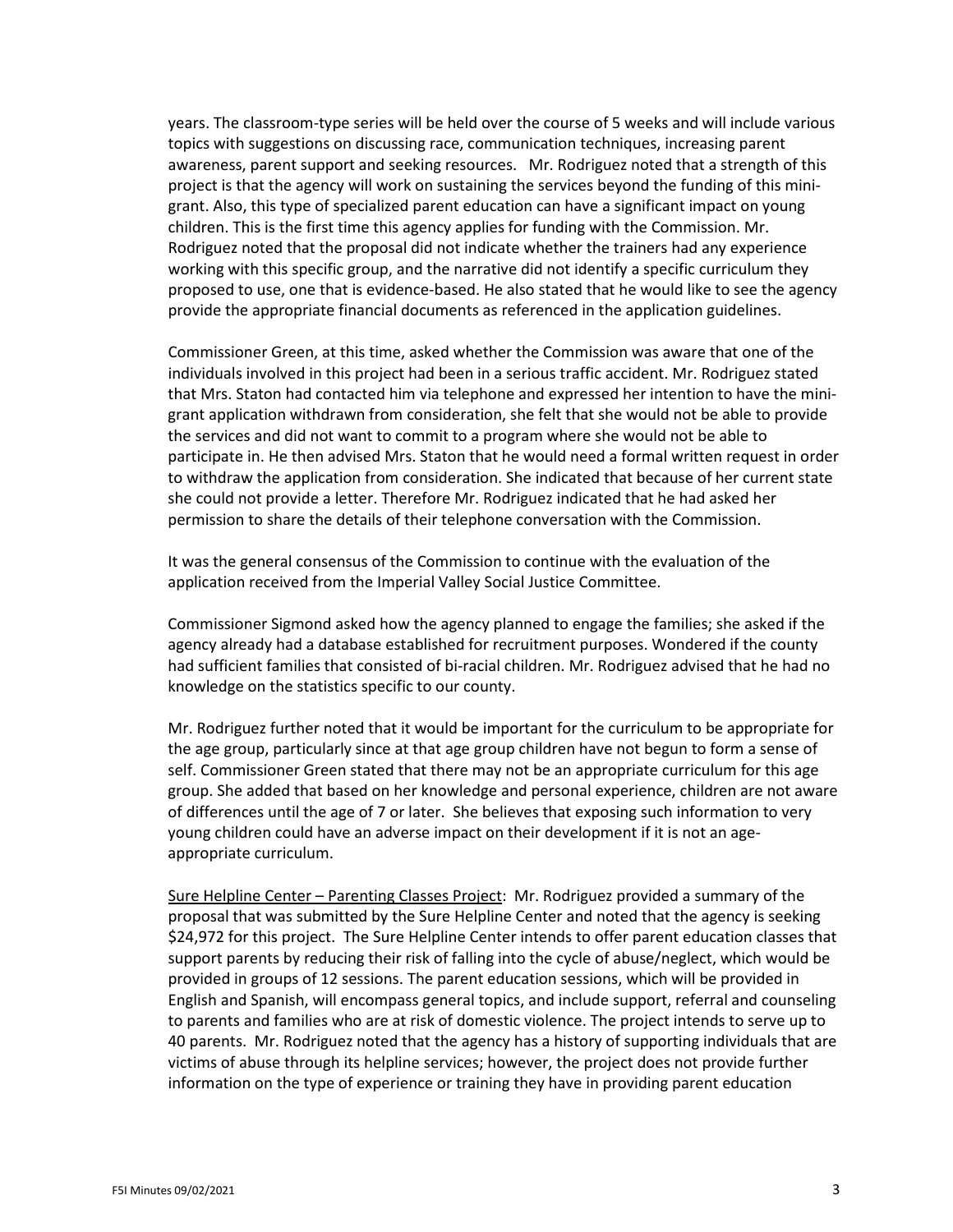years. The classroom-type series will be held over the course of 5 weeks and will include various topics with suggestions on discussing race, communication techniques, increasing parent awareness, parent support and seeking resources. Mr. Rodriguez noted that a strength of this project is that the agency will work on sustaining the services beyond the funding of this minigrant. Also, this type of specialized parent education can have a significant impact on young children. This is the first time this agency applies for funding with the Commission. Mr. Rodriguez noted that the proposal did not indicate whether the trainers had any experience working with this specific group, and the narrative did not identify a specific curriculum they proposed to use, one that is evidence-based. He also stated that he would like to see the agency provide the appropriate financial documents as referenced in the application guidelines.

Commissioner Green, at this time, asked whether the Commission was aware that one of the individuals involved in this project had been in a serious traffic accident. Mr. Rodriguez stated that Mrs. Staton had contacted him via telephone and expressed her intention to have the minigrant application withdrawn from consideration, she felt that she would not be able to provide the services and did not want to commit to a program where she would not be able to participate in. He then advised Mrs. Staton that he would need a formal written request in order to withdraw the application from consideration. She indicated that because of her current state she could not provide a letter. Therefore Mr. Rodriguez indicated that he had asked her permission to share the details of their telephone conversation with the Commission.

It was the general consensus of the Commission to continue with the evaluation of the application received from the Imperial Valley Social Justice Committee.

Commissioner Sigmond asked how the agency planned to engage the families; she asked if the agency already had a database established for recruitment purposes. Wondered if the county had sufficient families that consisted of bi-racial children. Mr. Rodriguez advised that he had no knowledge on the statistics specific to our county.

Mr. Rodriguez further noted that it would be important for the curriculum to be appropriate for the age group, particularly since at that age group children have not begun to form a sense of self. Commissioner Green stated that there may not be an appropriate curriculum for this age group. She added that based on her knowledge and personal experience, children are not aware of differences until the age of 7 or later. She believes that exposing such information to very young children could have an adverse impact on their development if it is not an ageappropriate curriculum.

Sure Helpline Center – Parenting Classes Project: Mr. Rodriguez provided a summary of the proposal that was submitted by the Sure Helpline Center and noted that the agency is seeking \$24,972 for this project. The Sure Helpline Center intends to offer parent education classes that support parents by reducing their risk of falling into the cycle of abuse/neglect, which would be provided in groups of 12 sessions. The parent education sessions, which will be provided in English and Spanish, will encompass general topics, and include support, referral and counseling to parents and families who are at risk of domestic violence. The project intends to serve up to 40 parents. Mr. Rodriguez noted that the agency has a history of supporting individuals that are victims of abuse through its helpline services; however, the project does not provide further information on the type of experience or training they have in providing parent education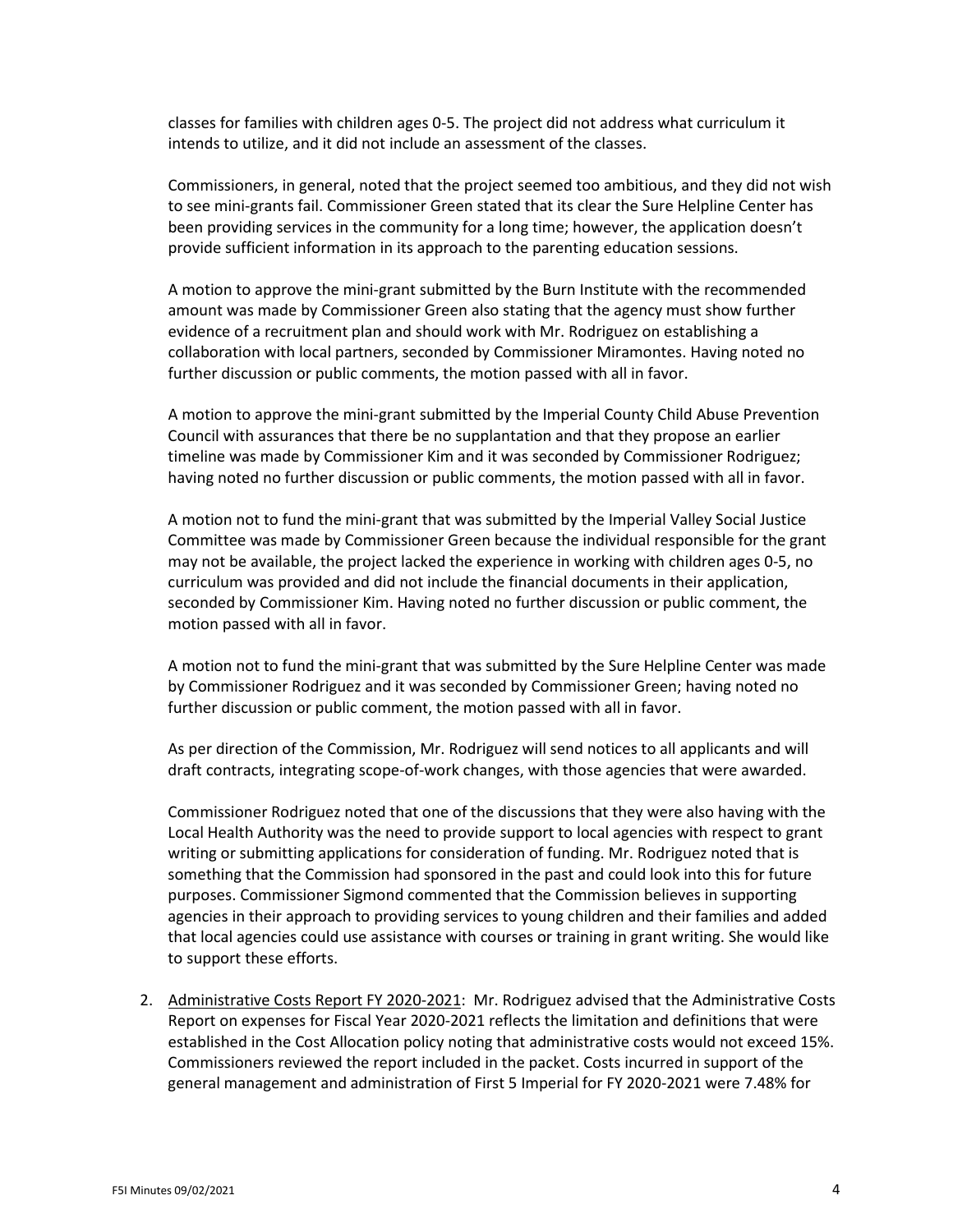classes for families with children ages 0-5. The project did not address what curriculum it intends to utilize, and it did not include an assessment of the classes.

Commissioners, in general, noted that the project seemed too ambitious, and they did not wish to see mini-grants fail. Commissioner Green stated that its clear the Sure Helpline Center has been providing services in the community for a long time; however, the application doesn't provide sufficient information in its approach to the parenting education sessions.

A motion to approve the mini-grant submitted by the Burn Institute with the recommended amount was made by Commissioner Green also stating that the agency must show further evidence of a recruitment plan and should work with Mr. Rodriguez on establishing a collaboration with local partners, seconded by Commissioner Miramontes. Having noted no further discussion or public comments, the motion passed with all in favor.

A motion to approve the mini-grant submitted by the Imperial County Child Abuse Prevention Council with assurances that there be no supplantation and that they propose an earlier timeline was made by Commissioner Kim and it was seconded by Commissioner Rodriguez; having noted no further discussion or public comments, the motion passed with all in favor.

A motion not to fund the mini-grant that was submitted by the Imperial Valley Social Justice Committee was made by Commissioner Green because the individual responsible for the grant may not be available, the project lacked the experience in working with children ages 0-5, no curriculum was provided and did not include the financial documents in their application, seconded by Commissioner Kim. Having noted no further discussion or public comment, the motion passed with all in favor.

A motion not to fund the mini-grant that was submitted by the Sure Helpline Center was made by Commissioner Rodriguez and it was seconded by Commissioner Green; having noted no further discussion or public comment, the motion passed with all in favor.

As per direction of the Commission, Mr. Rodriguez will send notices to all applicants and will draft contracts, integrating scope-of-work changes, with those agencies that were awarded.

Commissioner Rodriguez noted that one of the discussions that they were also having with the Local Health Authority was the need to provide support to local agencies with respect to grant writing or submitting applications for consideration of funding. Mr. Rodriguez noted that is something that the Commission had sponsored in the past and could look into this for future purposes. Commissioner Sigmond commented that the Commission believes in supporting agencies in their approach to providing services to young children and their families and added that local agencies could use assistance with courses or training in grant writing. She would like to support these efforts.

2. Administrative Costs Report FY 2020-2021: Mr. Rodriguez advised that the Administrative Costs Report on expenses for Fiscal Year 2020-2021 reflects the limitation and definitions that were established in the Cost Allocation policy noting that administrative costs would not exceed 15%. Commissioners reviewed the report included in the packet. Costs incurred in support of the general management and administration of First 5 Imperial for FY 2020-2021 were 7.48% for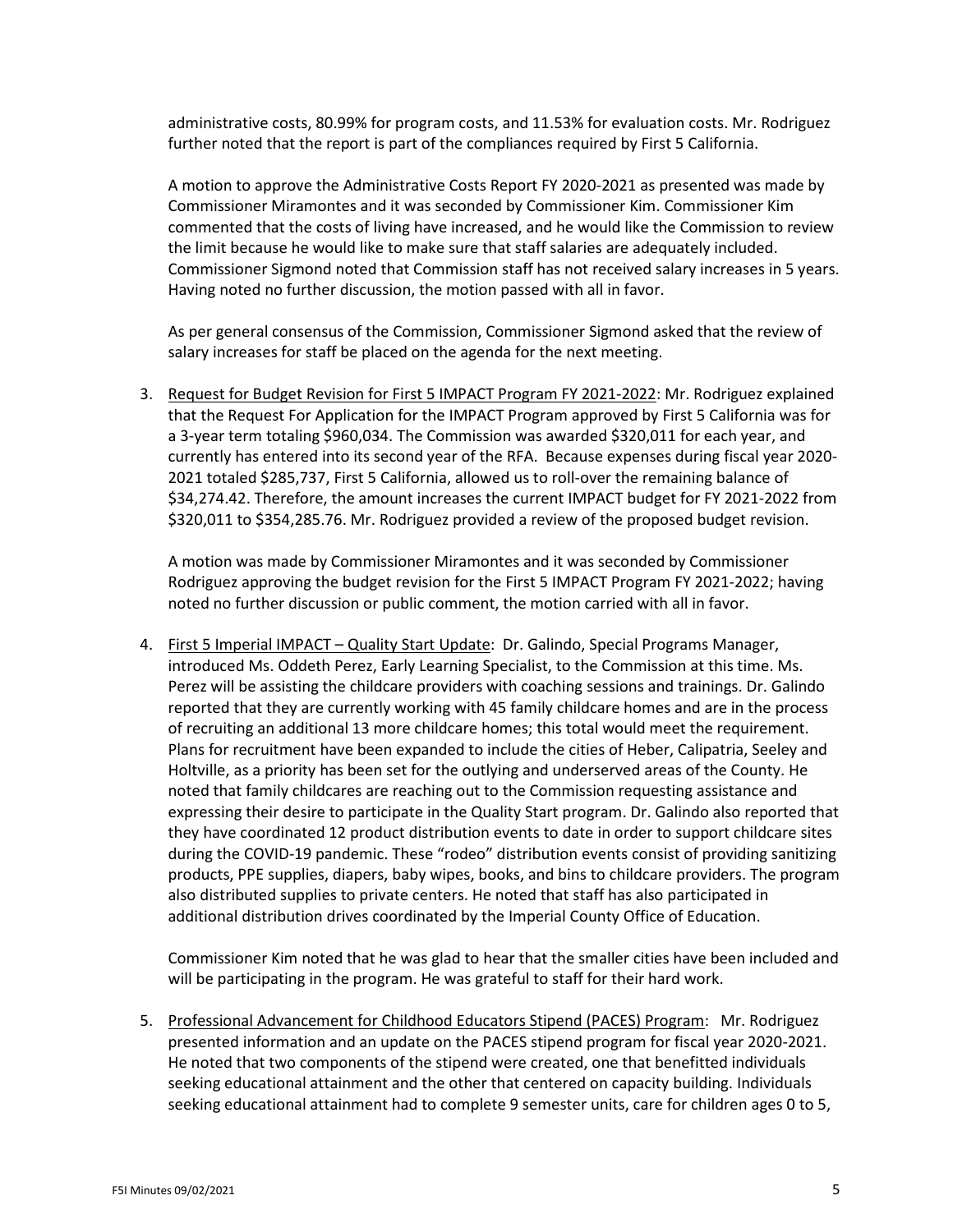administrative costs, 80.99% for program costs, and 11.53% for evaluation costs. Mr. Rodriguez further noted that the report is part of the compliances required by First 5 California.

A motion to approve the Administrative Costs Report FY 2020-2021 as presented was made by Commissioner Miramontes and it was seconded by Commissioner Kim. Commissioner Kim commented that the costs of living have increased, and he would like the Commission to review the limit because he would like to make sure that staff salaries are adequately included. Commissioner Sigmond noted that Commission staff has not received salary increases in 5 years. Having noted no further discussion, the motion passed with all in favor.

As per general consensus of the Commission, Commissioner Sigmond asked that the review of salary increases for staff be placed on the agenda for the next meeting.

3. Request for Budget Revision for First 5 IMPACT Program FY 2021-2022: Mr. Rodriguez explained that the Request For Application for the IMPACT Program approved by First 5 California was for a 3-year term totaling \$960,034. The Commission was awarded \$320,011 for each year, and currently has entered into its second year of the RFA. Because expenses during fiscal year 2020- 2021 totaled \$285,737, First 5 California, allowed us to roll-over the remaining balance of \$34,274.42. Therefore, the amount increases the current IMPACT budget for FY 2021-2022 from \$320,011 to \$354,285.76. Mr. Rodriguez provided a review of the proposed budget revision.

A motion was made by Commissioner Miramontes and it was seconded by Commissioner Rodriguez approving the budget revision for the First 5 IMPACT Program FY 2021-2022; having noted no further discussion or public comment, the motion carried with all in favor.

4. First 5 Imperial IMPACT – Quality Start Update: Dr. Galindo, Special Programs Manager, introduced Ms. Oddeth Perez, Early Learning Specialist, to the Commission at this time. Ms. Perez will be assisting the childcare providers with coaching sessions and trainings. Dr. Galindo reported that they are currently working with 45 family childcare homes and are in the process of recruiting an additional 13 more childcare homes; this total would meet the requirement. Plans for recruitment have been expanded to include the cities of Heber, Calipatria, Seeley and Holtville, as a priority has been set for the outlying and underserved areas of the County. He noted that family childcares are reaching out to the Commission requesting assistance and expressing their desire to participate in the Quality Start program. Dr. Galindo also reported that they have coordinated 12 product distribution events to date in order to support childcare sites during the COVID-19 pandemic. These "rodeo" distribution events consist of providing sanitizing products, PPE supplies, diapers, baby wipes, books, and bins to childcare providers. The program also distributed supplies to private centers. He noted that staff has also participated in additional distribution drives coordinated by the Imperial County Office of Education.

Commissioner Kim noted that he was glad to hear that the smaller cities have been included and will be participating in the program. He was grateful to staff for their hard work.

5. Professional Advancement for Childhood Educators Stipend (PACES) Program: Mr. Rodriguez presented information and an update on the PACES stipend program for fiscal year 2020-2021. He noted that two components of the stipend were created, one that benefitted individuals seeking educational attainment and the other that centered on capacity building. Individuals seeking educational attainment had to complete 9 semester units, care for children ages 0 to 5,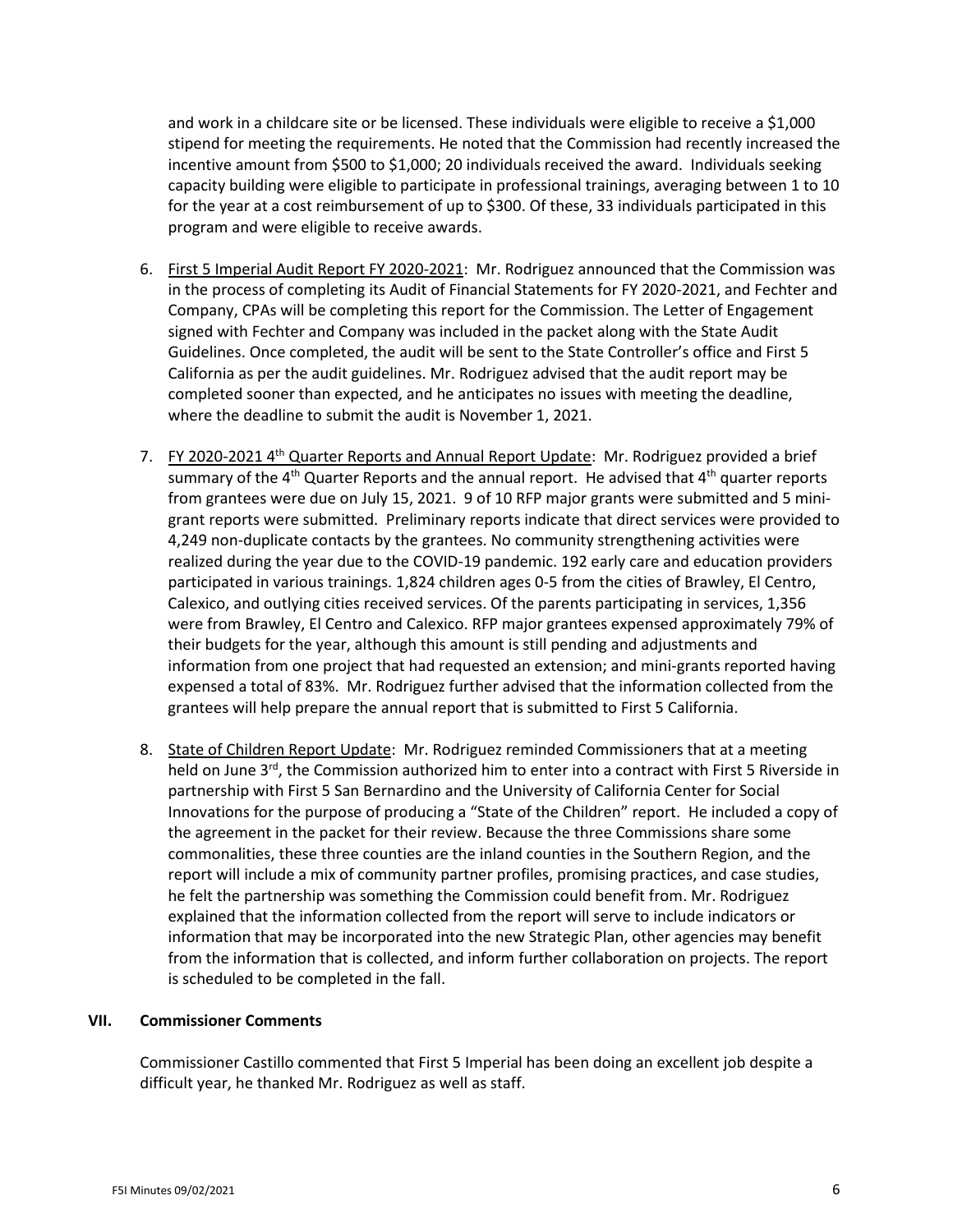and work in a childcare site or be licensed. These individuals were eligible to receive a \$1,000 stipend for meeting the requirements. He noted that the Commission had recently increased the incentive amount from \$500 to \$1,000; 20 individuals received the award. Individuals seeking capacity building were eligible to participate in professional trainings, averaging between 1 to 10 for the year at a cost reimbursement of up to \$300. Of these, 33 individuals participated in this program and were eligible to receive awards.

- 6. First 5 Imperial Audit Report FY 2020-2021: Mr. Rodriguez announced that the Commission was in the process of completing its Audit of Financial Statements for FY 2020-2021, and Fechter and Company, CPAs will be completing this report for the Commission. The Letter of Engagement signed with Fechter and Company was included in the packet along with the State Audit Guidelines. Once completed, the audit will be sent to the State Controller's office and First 5 California as per the audit guidelines. Mr. Rodriguez advised that the audit report may be completed sooner than expected, and he anticipates no issues with meeting the deadline, where the deadline to submit the audit is November 1, 2021.
- 7. FY 2020-2021 4<sup>th</sup> Quarter Reports and Annual Report Update: Mr. Rodriguez provided a brief summary of the  $4<sup>th</sup>$  Quarter Reports and the annual report. He advised that  $4<sup>th</sup>$  quarter reports from grantees were due on July 15, 2021. 9 of 10 RFP major grants were submitted and 5 minigrant reports were submitted. Preliminary reports indicate that direct services were provided to 4,249 non-duplicate contacts by the grantees. No community strengthening activities were realized during the year due to the COVID-19 pandemic. 192 early care and education providers participated in various trainings. 1,824 children ages 0-5 from the cities of Brawley, El Centro, Calexico, and outlying cities received services. Of the parents participating in services, 1,356 were from Brawley, El Centro and Calexico. RFP major grantees expensed approximately 79% of their budgets for the year, although this amount is still pending and adjustments and information from one project that had requested an extension; and mini-grants reported having expensed a total of 83%. Mr. Rodriguez further advised that the information collected from the grantees will help prepare the annual report that is submitted to First 5 California.
- 8. State of Children Report Update: Mr. Rodriguez reminded Commissioners that at a meeting held on June 3<sup>rd</sup>, the Commission authorized him to enter into a contract with First 5 Riverside in partnership with First 5 San Bernardino and the University of California Center for Social Innovations for the purpose of producing a "State of the Children" report. He included a copy of the agreement in the packet for their review. Because the three Commissions share some commonalities, these three counties are the inland counties in the Southern Region, and the report will include a mix of community partner profiles, promising practices, and case studies, he felt the partnership was something the Commission could benefit from. Mr. Rodriguez explained that the information collected from the report will serve to include indicators or information that may be incorporated into the new Strategic Plan, other agencies may benefit from the information that is collected, and inform further collaboration on projects. The report is scheduled to be completed in the fall.

#### **VII. Commissioner Comments**

Commissioner Castillo commented that First 5 Imperial has been doing an excellent job despite a difficult year, he thanked Mr. Rodriguez as well as staff.